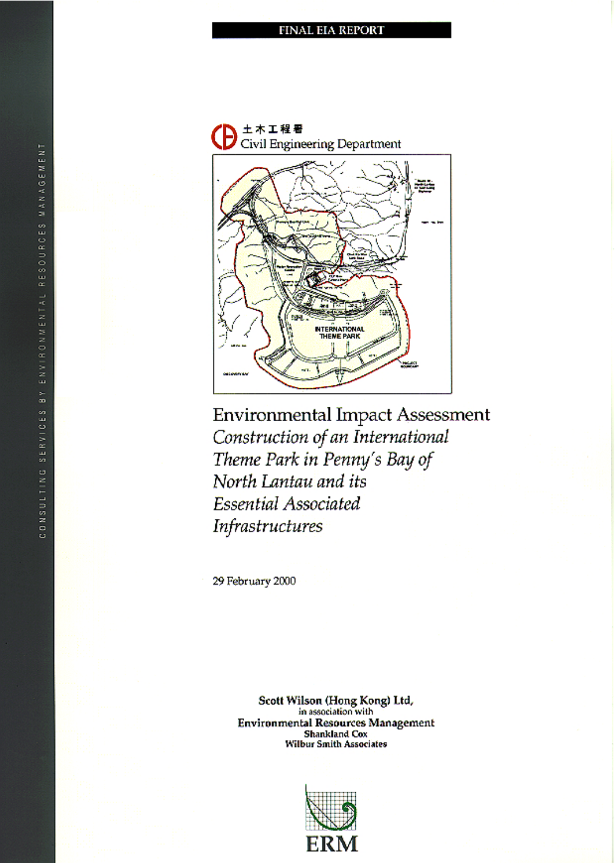

**Environmental Impact Assessment** Construction of an International Theme Park in Penny's Bay of North Lantau and its Essential Associated Infrastructures

29 Rehmany 2000

Scott Wilson (Hong Kong) Ltd. in suppliers with **Environmental Resources Management** *Shankland* Cox<br>Shankland Cox<br>Wilbur Smith Associates

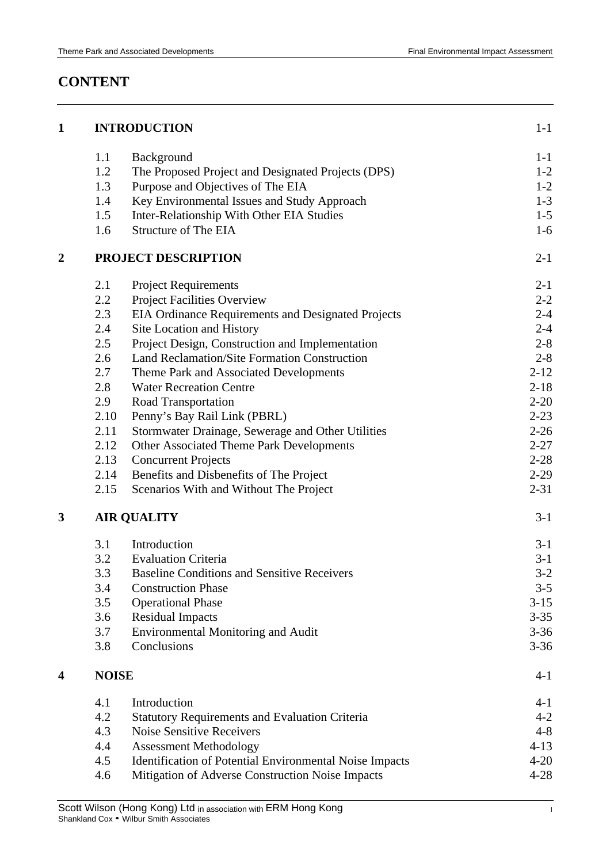# **CONTENT**

| $\mathbf{1}$   |              | <b>INTRODUCTION</b>                                            | $1 - 1$  |
|----------------|--------------|----------------------------------------------------------------|----------|
|                | 1.1          | Background                                                     | $1 - 1$  |
|                | 1.2          | The Proposed Project and Designated Projects (DPS)             | $1 - 2$  |
|                | 1.3          | Purpose and Objectives of The EIA                              | $1 - 2$  |
|                | 1.4          | Key Environmental Issues and Study Approach                    | $1 - 3$  |
|                | 1.5          | Inter-Relationship With Other EIA Studies                      | $1 - 5$  |
|                | 1.6          | <b>Structure of The EIA</b>                                    | $1-6$    |
| $\overline{2}$ |              | PROJECT DESCRIPTION                                            | $2 - 1$  |
|                | 2.1          | <b>Project Requirements</b>                                    | $2 - 1$  |
|                | 2.2          | <b>Project Facilities Overview</b>                             | $2 - 2$  |
|                | 2.3          | EIA Ordinance Requirements and Designated Projects             | $2 - 4$  |
|                | 2.4          | Site Location and History                                      | $2 - 4$  |
|                | 2.5          | Project Design, Construction and Implementation                | $2 - 8$  |
|                | 2.6          | Land Reclamation/Site Formation Construction                   | $2 - 8$  |
|                | 2.7          | Theme Park and Associated Developments                         | $2 - 12$ |
|                | 2.8          | <b>Water Recreation Centre</b>                                 | $2 - 18$ |
|                | 2.9          | Road Transportation                                            | $2 - 20$ |
|                | 2.10         | Penny's Bay Rail Link (PBRL)                                   | $2 - 23$ |
|                | 2.11         | Stormwater Drainage, Sewerage and Other Utilities              | $2 - 26$ |
|                | 2.12         | Other Associated Theme Park Developments                       | $2 - 27$ |
|                | 2.13         | <b>Concurrent Projects</b>                                     | $2 - 28$ |
|                | 2.14         | Benefits and Disbenefits of The Project                        | $2-29$   |
|                | 2.15         | Scenarios With and Without The Project                         | $2 - 31$ |
| 3              |              | <b>AIR QUALITY</b>                                             | $3-1$    |
|                | 3.1          | Introduction                                                   | $3-1$    |
|                | 3.2          | <b>Evaluation Criteria</b>                                     | $3-1$    |
|                | 3.3          | <b>Baseline Conditions and Sensitive Receivers</b>             | $3-2$    |
|                | 3.4          | <b>Construction Phase</b>                                      | $3 - 5$  |
|                | 3.5          | <b>Operational Phase</b>                                       | $3-15$   |
|                | 3.6          | <b>Residual Impacts</b>                                        | $3 - 35$ |
|                | 3.7          | <b>Environmental Monitoring and Audit</b>                      | $3 - 36$ |
|                | 3.8          | Conclusions                                                    | $3 - 36$ |
| 4              | <b>NOISE</b> |                                                                | $4 - 1$  |
|                | 4.1          | Introduction                                                   | $4 - 1$  |
|                | 4.2          | <b>Statutory Requirements and Evaluation Criteria</b>          | $4 - 2$  |
|                | 4.3          | <b>Noise Sensitive Receivers</b>                               | $4 - 8$  |
|                | 4.4          | <b>Assessment Methodology</b>                                  | $4 - 13$ |
|                | 4.5          | <b>Identification of Potential Environmental Noise Impacts</b> | $4 - 20$ |
|                | 4.6          | Mitigation of Adverse Construction Noise Impacts               | $4 - 28$ |
|                |              |                                                                |          |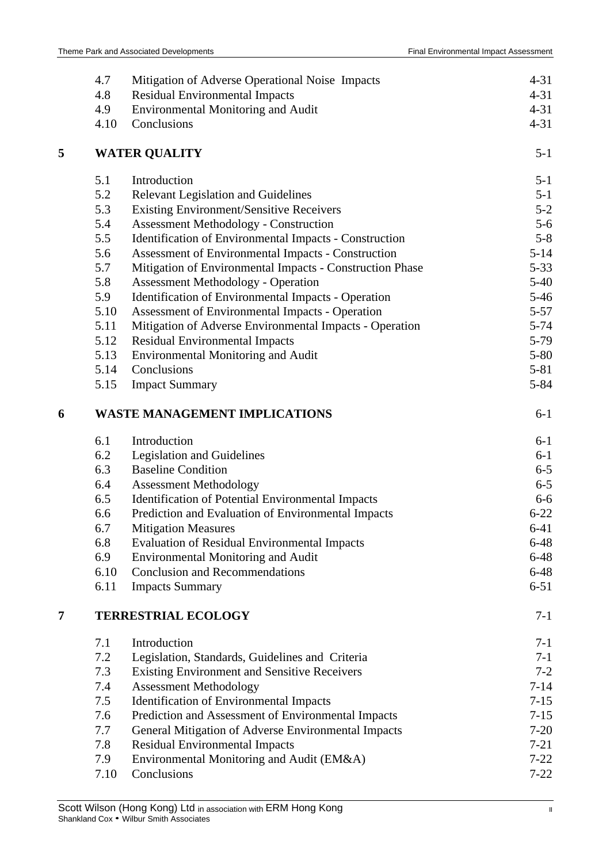|   | 4.7  | Mitigation of Adverse Operational Noise Impacts          | $4 - 31$ |
|---|------|----------------------------------------------------------|----------|
|   | 4.8  | <b>Residual Environmental Impacts</b>                    | $4 - 31$ |
|   | 4.9  | Environmental Monitoring and Audit                       | $4 - 31$ |
|   | 4.10 | Conclusions                                              | $4 - 31$ |
| 5 |      | <b>WATER QUALITY</b>                                     | $5 - 1$  |
|   | 5.1  | Introduction                                             | $5 - 1$  |
|   | 5.2  | <b>Relevant Legislation and Guidelines</b>               | $5 - 1$  |
|   | 5.3  | <b>Existing Environment/Sensitive Receivers</b>          | $5 - 2$  |
|   | 5.4  | <b>Assessment Methodology - Construction</b>             | $5 - 6$  |
|   | 5.5  | Identification of Environmental Impacts - Construction   | $5 - 8$  |
|   | 5.6  | Assessment of Environmental Impacts - Construction       | $5 - 14$ |
|   | 5.7  | Mitigation of Environmental Impacts - Construction Phase | $5 - 33$ |
|   | 5.8  | <b>Assessment Methodology - Operation</b>                | $5 - 40$ |
|   | 5.9  | Identification of Environmental Impacts - Operation      | $5 - 46$ |
|   | 5.10 | Assessment of Environmental Impacts - Operation          | $5 - 57$ |
|   | 5.11 | Mitigation of Adverse Environmental Impacts - Operation  | $5 - 74$ |
|   | 5.12 | <b>Residual Environmental Impacts</b>                    | 5-79     |
|   | 5.13 | Environmental Monitoring and Audit                       | $5 - 80$ |
|   | 5.14 | Conclusions                                              | $5 - 81$ |
|   | 5.15 | <b>Impact Summary</b>                                    | 5-84     |
| 6 |      | <b>WASTE MANAGEMENT IMPLICATIONS</b>                     | $6 - 1$  |
|   | 6.1  | Introduction                                             | $6 - 1$  |
|   | 6.2  | Legislation and Guidelines                               | $6 - 1$  |
|   | 6.3  | <b>Baseline Condition</b>                                | $6 - 5$  |
|   | 6.4  | <b>Assessment Methodology</b>                            | $6 - 5$  |
|   | 6.5  | Identification of Potential Environmental Impacts        | $6 - 6$  |
|   | 6.6  | Prediction and Evaluation of Environmental Impacts       | $6 - 22$ |
|   | 6.7  | <b>Mitigation Measures</b>                               | $6 - 41$ |
|   | 6.8  | <b>Evaluation of Residual Environmental Impacts</b>      | $6 - 48$ |
|   | 6.9  | <b>Environmental Monitoring and Audit</b>                | $6 - 48$ |
|   | 6.10 | <b>Conclusion and Recommendations</b>                    | $6 - 48$ |
|   | 6.11 | <b>Impacts Summary</b>                                   | $6 - 51$ |
| 7 |      | <b>TERRESTRIAL ECOLOGY</b>                               | $7 - 1$  |
|   | 7.1  | Introduction                                             | $7-1$    |
|   | 7.2  | Legislation, Standards, Guidelines and Criteria          | $7 - 1$  |
|   | 7.3  | <b>Existing Environment and Sensitive Receivers</b>      | $7 - 2$  |
|   | 7.4  | <b>Assessment Methodology</b>                            | $7 - 14$ |
|   | 7.5  | <b>Identification of Environmental Impacts</b>           | $7 - 15$ |
|   | 7.6  | Prediction and Assessment of Environmental Impacts       | $7 - 15$ |
|   | 7.7  | General Mitigation of Adverse Environmental Impacts      | $7 - 20$ |
|   | 7.8  | <b>Residual Environmental Impacts</b>                    | $7 - 21$ |
|   | 7.9  | Environmental Monitoring and Audit (EM&A)                | $7 - 22$ |
|   | 7.10 | Conclusions                                              | $7 - 22$ |
|   |      |                                                          |          |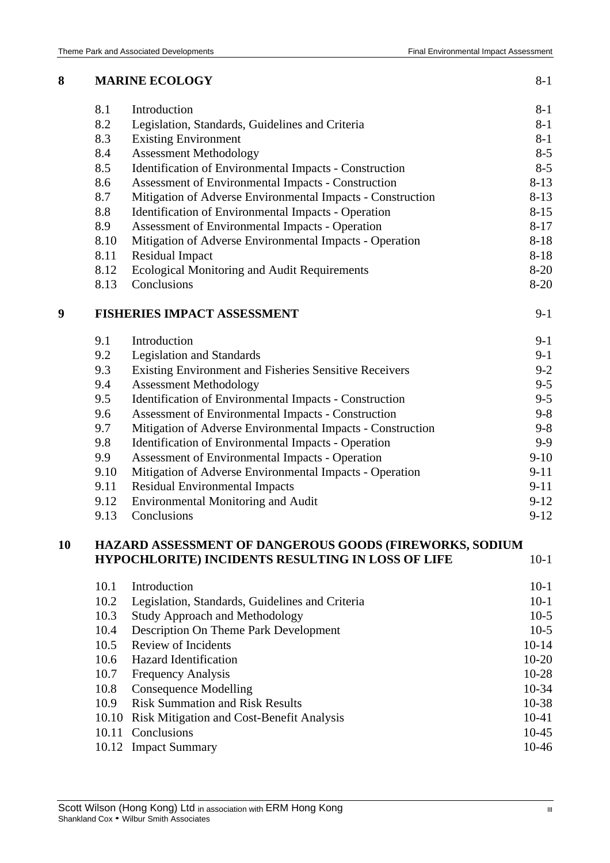| 8  |       | <b>MARINE ECOLOGY</b>                                      | $8 - 1$   |
|----|-------|------------------------------------------------------------|-----------|
|    | 8.1   | Introduction                                               | $8 - 1$   |
|    | 8.2   | Legislation, Standards, Guidelines and Criteria            | $8 - 1$   |
|    | 8.3   | <b>Existing Environment</b>                                | $8 - 1$   |
|    | 8.4   | <b>Assessment Methodology</b>                              | $8 - 5$   |
|    | 8.5   | Identification of Environmental Impacts - Construction     | $8 - 5$   |
|    | 8.6   | Assessment of Environmental Impacts - Construction         | $8 - 13$  |
|    | 8.7   | Mitigation of Adverse Environmental Impacts - Construction | $8 - 13$  |
|    | 8.8   | <b>Identification of Environmental Impacts - Operation</b> | $8 - 15$  |
|    | 8.9   | Assessment of Environmental Impacts - Operation            | $8 - 17$  |
|    | 8.10  | Mitigation of Adverse Environmental Impacts - Operation    | $8 - 18$  |
|    | 8.11  | <b>Residual Impact</b>                                     | $8 - 18$  |
|    | 8.12  | <b>Ecological Monitoring and Audit Requirements</b>        | $8 - 20$  |
|    | 8.13  | Conclusions                                                | $8 - 20$  |
| 9  |       | <b>FISHERIES IMPACT ASSESSMENT</b>                         | $9 - 1$   |
|    | 9.1   | Introduction                                               | $9 - 1$   |
|    | 9.2   | <b>Legislation and Standards</b>                           | $9-1$     |
|    | 9.3   | Existing Environment and Fisheries Sensitive Receivers     | $9 - 2$   |
|    | 9.4   | <b>Assessment Methodology</b>                              | $9 - 5$   |
|    | 9.5   | Identification of Environmental Impacts - Construction     | $9 - 5$   |
|    | 9.6   | Assessment of Environmental Impacts - Construction         | $9 - 8$   |
|    | 9.7   | Mitigation of Adverse Environmental Impacts - Construction | $9 - 8$   |
|    | 9.8   | Identification of Environmental Impacts - Operation        | $9 - 9$   |
|    | 9.9   | Assessment of Environmental Impacts - Operation            | $9 - 10$  |
|    | 9.10  | Mitigation of Adverse Environmental Impacts - Operation    | $9 - 11$  |
|    | 9.11  | <b>Residual Environmental Impacts</b>                      | $9 - 11$  |
|    | 9.12  | <b>Environmental Monitoring and Audit</b>                  | $9 - 12$  |
|    | 9.13  | Conclusions                                                | $9 - 12$  |
| 10 |       | HAZARD ASSESSMENT OF DANGEROUS GOODS (FIREWORKS, SODIUM    |           |
|    |       | HYPOCHLORITE) INCIDENTS RESULTING IN LOSS OF LIFE          | $10-1$    |
|    | 10.1  | Introduction                                               | $10-1$    |
|    | 10.2  | Legislation, Standards, Guidelines and Criteria            | $10-1$    |
|    | 10.3  | <b>Study Approach and Methodology</b>                      | $10-5$    |
|    | 10.4  | Description On Theme Park Development                      | $10-5$    |
|    | 10.5  | <b>Review of Incidents</b>                                 | $10 - 14$ |
|    | 10.6  | <b>Hazard Identification</b>                               | $10 - 20$ |
|    | 10.7  | <b>Frequency Analysis</b>                                  | $10-28$   |
|    | 10.8  | <b>Consequence Modelling</b>                               | $10-34$   |
|    | 10.9  | <b>Risk Summation and Risk Results</b>                     | 10-38     |
|    | 10.10 | Risk Mitigation and Cost-Benefit Analysis                  | $10-41$   |
|    |       | 10.11 Conclusions                                          | $10 - 45$ |
|    |       | 10.12 Impact Summary                                       | 10-46     |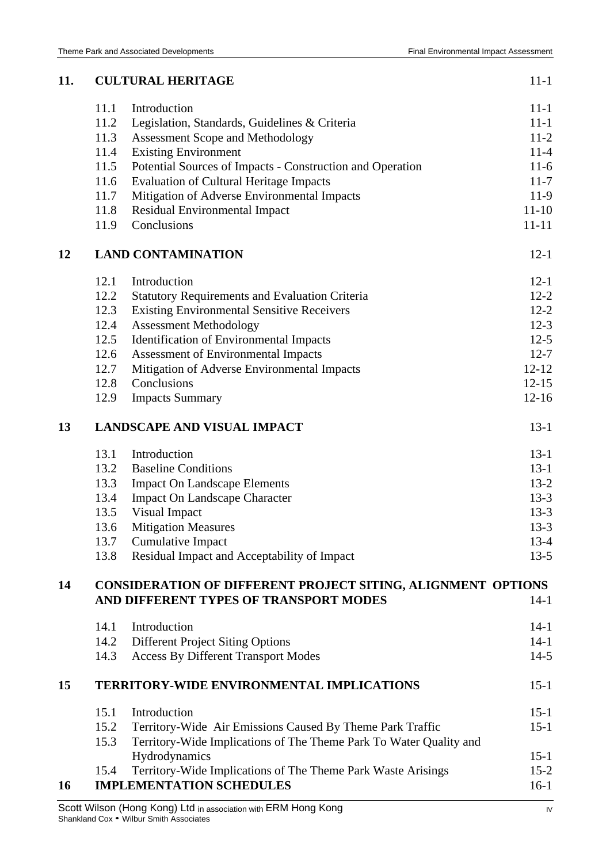| 11. |                                    | <b>CULTURAL HERITAGE</b>                                           | $11 - 1$  |
|-----|------------------------------------|--------------------------------------------------------------------|-----------|
|     | 11.1                               | Introduction                                                       | $11 - 1$  |
|     | 11.2                               | Legislation, Standards, Guidelines & Criteria                      | $11 - 1$  |
|     | 11.3                               | <b>Assessment Scope and Methodology</b>                            | $11-2$    |
|     | 11.4                               | <b>Existing Environment</b>                                        | $11 - 4$  |
|     | 11.5                               | Potential Sources of Impacts - Construction and Operation          | $11-6$    |
|     | 11.6                               | <b>Evaluation of Cultural Heritage Impacts</b>                     | $11 - 7$  |
|     | 11.7                               | Mitigation of Adverse Environmental Impacts                        | $11-9$    |
|     | 11.8                               | Residual Environmental Impact                                      | $11 - 10$ |
|     | 11.9                               | Conclusions                                                        | $11 - 11$ |
| 12  |                                    | <b>LAND CONTAMINATION</b>                                          | $12 - 1$  |
|     | 12.1                               | Introduction                                                       | $12 - 1$  |
|     | 12.2                               | <b>Statutory Requirements and Evaluation Criteria</b>              | $12 - 2$  |
|     | 12.3                               | <b>Existing Environmental Sensitive Receivers</b>                  | $12 - 2$  |
|     | 12.4                               | <b>Assessment Methodology</b>                                      | $12-3$    |
|     | 12.5                               | Identification of Environmental Impacts                            | $12-5$    |
|     | 12.6                               | Assessment of Environmental Impacts                                | $12 - 7$  |
|     | 12.7                               | Mitigation of Adverse Environmental Impacts                        | $12 - 12$ |
|     | 12.8                               | Conclusions                                                        | $12 - 15$ |
|     | 12.9                               | <b>Impacts Summary</b>                                             | $12 - 16$ |
| 13  | <b>LANDSCAPE AND VISUAL IMPACT</b> |                                                                    | $13-1$    |
|     | 13.1                               | Introduction                                                       | $13-1$    |
|     | 13.2                               | <b>Baseline Conditions</b>                                         | $13-1$    |
|     | 13.3                               | <b>Impact On Landscape Elements</b>                                | $13 - 2$  |
|     | 13.4                               | <b>Impact On Landscape Character</b>                               | $13 - 3$  |
|     | 13.5                               | Visual Impact                                                      | $13-3$    |
|     | 13.6                               | <b>Mitigation Measures</b>                                         | $13 - 3$  |
|     | 13.7                               | <b>Cumulative Impact</b>                                           | $13 - 4$  |
|     | 13.8                               | Residual Impact and Acceptability of Impact                        | $13-5$    |
| 14  |                                    | CONSIDERATION OF DIFFERENT PROJECT SITING, ALIGNMENT OPTIONS       |           |
|     |                                    | AND DIFFERENT TYPES OF TRANSPORT MODES                             | $14-1$    |
|     | 14.1                               | Introduction                                                       | $14 - 1$  |
|     | 14.2                               | <b>Different Project Siting Options</b>                            | $14 - 1$  |
|     | 14.3                               | <b>Access By Different Transport Modes</b>                         | $14-5$    |
| 15  |                                    | <b>TERRITORY-WIDE ENVIRONMENTAL IMPLICATIONS</b>                   | $15 - 1$  |
|     | 15.1                               | Introduction                                                       | $15 - 1$  |
|     | 15.2                               | Territory-Wide Air Emissions Caused By Theme Park Traffic          | $15 - 1$  |
|     | 15.3                               | Territory-Wide Implications of The Theme Park To Water Quality and |           |
|     |                                    | Hydrodynamics                                                      | $15 - 1$  |
|     | 15.4                               | Territory-Wide Implications of The Theme Park Waste Arisings       | $15 - 2$  |
| 16  |                                    | <b>IMPLEMENTATION SCHEDULES</b>                                    | $16-1$    |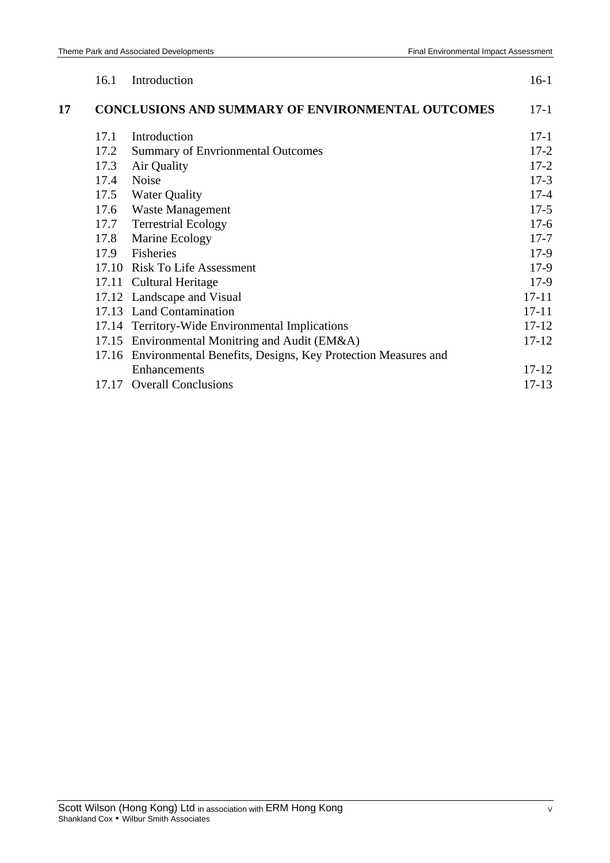|    | 16.1  | Introduction                                                 | $16-1$    |
|----|-------|--------------------------------------------------------------|-----------|
| 17 |       | <b>CONCLUSIONS AND SUMMARY OF ENVIRONMENTAL OUTCOMES</b>     | $17-1$    |
|    | 17.1  | Introduction                                                 | $17 - 1$  |
|    | 17.2  | <b>Summary of Envrionmental Outcomes</b>                     | $17 - 2$  |
|    | 17.3  | Air Quality                                                  | $17 - 2$  |
|    | 17.4  | <b>Noise</b>                                                 | $17 - 3$  |
|    | 17.5  | <b>Water Quality</b>                                         | $17 - 4$  |
|    | 17.6  | <b>Waste Management</b>                                      | $17 - 5$  |
|    | 17.7  | <b>Terrestrial Ecology</b>                                   | $17-6$    |
|    | 17.8  | Marine Ecology                                               | $17 - 7$  |
|    | 17.9  | Fisheries                                                    | $17-9$    |
|    |       | 17.10 Risk To Life Assessment                                | $17-9$    |
|    |       | 17.11 Cultural Heritage                                      | $17-9$    |
|    |       | 17.12 Landscape and Visual                                   | $17 - 11$ |
|    |       | 17.13 Land Contamination                                     | $17 - 11$ |
|    |       | 17.14 Territory-Wide Environmental Implications              | $17 - 12$ |
|    |       | 17.15 Environmental Monitring and Audit (EM&A)               | $17 - 12$ |
|    | 17.16 | Environmental Benefits, Designs, Key Protection Measures and |           |
|    |       | Enhancements                                                 | $17 - 12$ |
|    |       | 17.17 Overall Conclusions                                    | $17 - 13$ |
|    |       |                                                              |           |